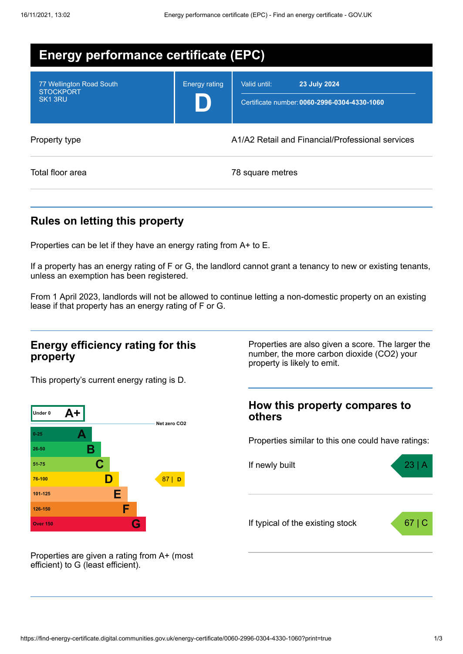| <b>Energy performance certificate (EPC)</b>                         |                                                  |                                                                              |  |
|---------------------------------------------------------------------|--------------------------------------------------|------------------------------------------------------------------------------|--|
| 77 Wellington Road South<br><b>STOCKPORT</b><br>SK <sub>1</sub> 3RU | <b>Energy rating</b>                             | Valid until:<br>23 July 2024<br>Certificate number: 0060-2996-0304-4330-1060 |  |
| Property type                                                       | A1/A2 Retail and Financial/Professional services |                                                                              |  |
| Total floor area                                                    |                                                  | 78 square metres                                                             |  |

# **Rules on letting this property**

Properties can be let if they have an energy rating from A+ to E.

If a property has an energy rating of F or G, the landlord cannot grant a tenancy to new or existing tenants, unless an exemption has been registered.

From 1 April 2023, landlords will not be allowed to continue letting a non-domestic property on an existing lease if that property has an energy rating of F or G.

#### **Energy efficiency rating for this property**

This property's current energy rating is D.



Properties are given a rating from A+ (most efficient) to G (least efficient).

Properties are also given a score. The larger the number, the more carbon dioxide (CO2) your property is likely to emit.

### **How this property compares to others**

Properties similar to this one could have ratings:

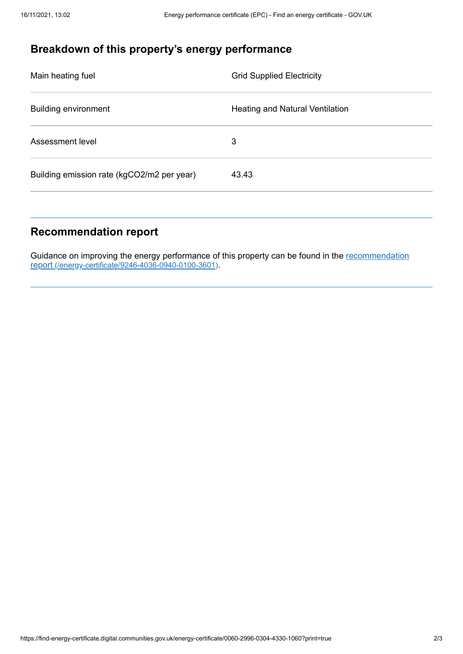# **Breakdown of this property's energy performance**

| Main heating fuel                          | <b>Grid Supplied Electricity</b> |
|--------------------------------------------|----------------------------------|
| <b>Building environment</b>                | Heating and Natural Ventilation  |
| Assessment level                           | 3                                |
| Building emission rate (kgCO2/m2 per year) | 43.43                            |

## **Recommendation report**

Guidance on improving the energy performance of this property can be found in the recommendation report [\(/energy-certificate/9246-4036-0940-0100-3601\)](https://find-energy-certificate.digital.communities.gov.uk/energy-certificate/9246-4036-0940-0100-3601).